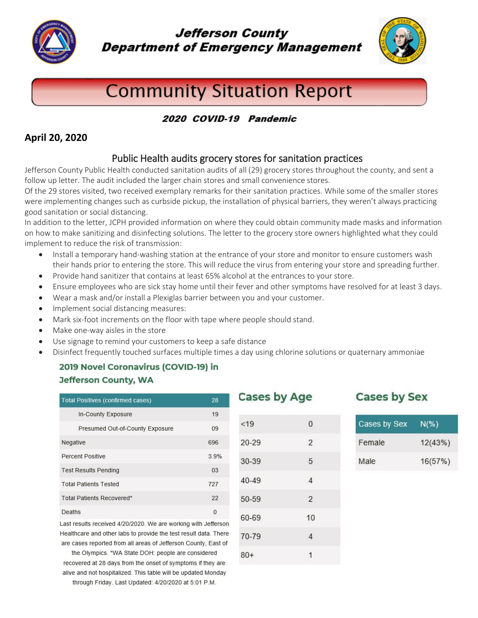

**Jefferson County Department of Emergency Management** 



# **Community Situation Report**

#### 2020 COVID-19 Pandemic

#### **April 20, 2020**

### Public Health audits grocery stores for sanitation practices

Jefferson County Public Health conducted sanitation audits of all (29) grocery stores throughout the county, and sent a follow up letter. The audit included the larger chain stores and small convenience stores.

Of the 29 stores visited, two received exemplary remarks for their sanitation practices. While some of the smaller stores were implementing changes such as curbside pickup, the installation of physical barriers, they weren't always practicing good sanitation or social distancing.

In addition to the letter, JCPH provided information on where they could obtain community made masks and information on how to make sanitizing and disinfecting solutions. The letter to the grocery store owners highlighted what they could implement to reduce the risk of transmission:

- Install a temporary hand-washing station at the entrance of your store and monitor to ensure customers wash their hands prior to entering the store. This will reduce the virus from entering your store and spreading further.
- Provide hand sanitizer that contains at least 65% alcohol at the entrances to your store.
- Ensure employees who are sick stay home until their fever and other symptoms have resolved for at least 3 days.
- Wear a mask and/or install a Plexiglas barrier between you and your customer.
- Implement social distancing measures:
- Mark six-foot increments on the floor with tape where people should stand.
- Make one-way aisles in the store
- Use signage to remind your customers to keep a safe distance
- Disinfect frequently touched surfaces multiple times a day using chlorine solutions or quaternary ammoniae

 $< 19$ 

 $20 - 29$ 

30-39

 $40 - 49$ 

50-59

60-69

70-79

 $80+$ 

## 2019 Novel Coronavirus (COVID-19) in **Jefferson County, WA**

| <b>Total Positives (confirmed cases)</b> | 28       |
|------------------------------------------|----------|
| In-County Exposure                       | 19       |
| Presumed Out-of-County Exposure          | 09       |
| Negative                                 | 696      |
| Percent Positive                         | 3.9%     |
| <b>Test Results Pending</b>              | 03       |
| <b>Total Patients Tested</b>             | 727      |
| <b>Total Patients Recovered*</b>         | 22       |
| Deaths                                   | $\Omega$ |

Last results received 4/20/2020. We are working with Jefferson Healthcare and other labs to provide the test result data. There are cases reported from all areas of Jefferson County, East of

the Olympics. \*WA State DOH: people are considered recovered at 28 days from the onset of symptoms if they are alive and not hospitalized. This table will be updated Monday through Friday. Last Updated: 4/20/2020 at 5:01 P.M.

Cases by Age

 $\theta$ 

 $\overline{2}$ 

5

 $\overline{\mathbf{4}}$ 

 $\overline{2}$ 

 $10$ 

 $\overline{4}$ 

1

## **Cases by Sex**

| Cases by Sex | $N(\%)$ |
|--------------|---------|
| Female       | 12(43%) |
| Male:        | 16(57%) |